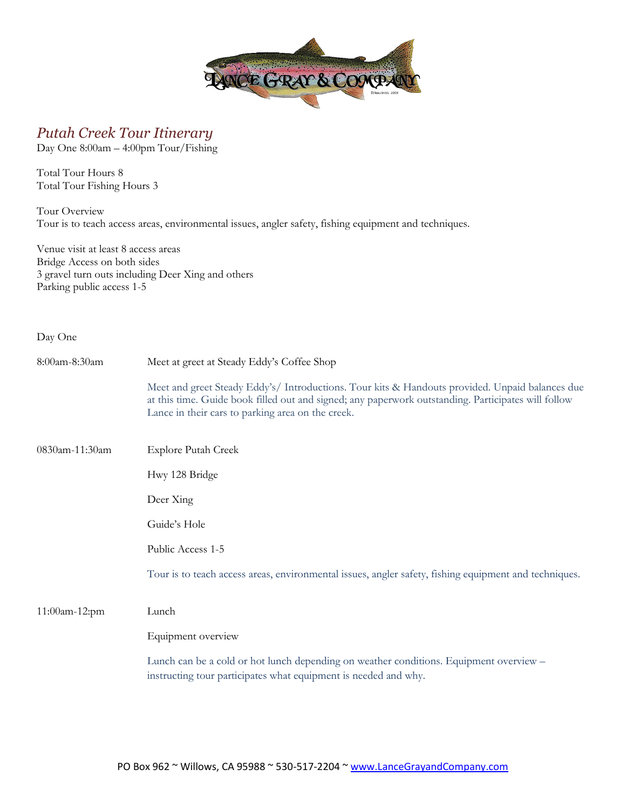

## *Putah Creek Tour Itinerary*

Day One 8:00am – 4:00pm Tour/Fishing

Total Tour Hours 8 Total Tour Fishing Hours 3

Tour Overview Tour is to teach access areas, environmental issues, angler safety, fishing equipment and techniques.

Venue visit at least 8 access areas Bridge Access on both sides 3 gravel turn outs including Deer Xing and others Parking public access 1-5

| Day One        |                                                                                                                                                                                                                                                             |
|----------------|-------------------------------------------------------------------------------------------------------------------------------------------------------------------------------------------------------------------------------------------------------------|
| 8:00am-8:30am  | Meet at greet at Steady Eddy's Coffee Shop                                                                                                                                                                                                                  |
|                | Meet and greet Steady Eddy's/ Introductions. Tour kits & Handouts provided. Unpaid balances due<br>at this time. Guide book filled out and signed; any paperwork outstanding. Participates will follow<br>Lance in their cars to parking area on the creek. |
| 0830am-11:30am | <b>Explore Putah Creek</b>                                                                                                                                                                                                                                  |
|                | Hwy 128 Bridge                                                                                                                                                                                                                                              |
|                | Deer Xing                                                                                                                                                                                                                                                   |
|                | Guide's Hole                                                                                                                                                                                                                                                |
|                | Public Access 1-5                                                                                                                                                                                                                                           |
|                | Tour is to teach access areas, environmental issues, angler safety, fishing equipment and techniques.                                                                                                                                                       |
| 11:00am-12:pm  | Lunch                                                                                                                                                                                                                                                       |
|                | Equipment overview                                                                                                                                                                                                                                          |
|                | Lunch can be a cold or hot lunch depending on weather conditions. Equipment overview -<br>instructing tour participates what equipment is needed and why.                                                                                                   |